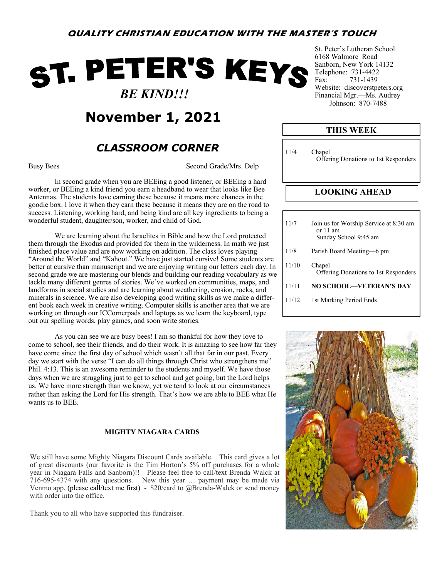# ST. PETER'S KEYS  *BE KIND!!!*

**November 1, 2021**

## *CLASSROOM CORNER*

Busy Bees Second Grade/Mrs. Delp

In second grade when you are BEEing a good listener, or BEEing a hard worker, or BEEing a kind friend you earn a headband to wear that looks like Bee Antennas. The students love earning these because it means more chances in the goodie box. I love it when they earn these because it means they are on the road to success. Listening, working hard, and being kind are all key ingredients to being a wonderful student, daughter/son, worker, and child of God.

We are learning about the Israelites in Bible and how the Lord protected them through the Exodus and provided for them in the wilderness. In math we just finished place value and are now working on addition. The class loves playing "Around the World" and "Kahoot." We have just started cursive! Some students are better at cursive than manuscript and we are enjoying writing our letters each day. In second grade we are mastering our blends and building our reading vocabulary as we tackle many different genres of stories. We've worked on communities, maps, and landforms in social studies and are learning about weathering, erosion, rocks, and minerals in science. We are also developing good writing skills as we make a different book each week in creative writing. Computer skills is another area that we are working on through our ICCornerpads and laptops as we learn the keyboard, type out our spelling words, play games, and soon write stories.

As you can see we are busy bees! I am so thankful for how they love to come to school, see their friends, and do their work. It is amazing to see how far they have come since the first day of school which wasn't all that far in our past. Every day we start with the verse "I can do all things through Christ who strengthens me" Phil. 4:13. This is an awesome reminder to the students and myself. We have those days when we are struggling just to get to school and get going, but the Lord helps us. We have more strength than we know, yet we tend to look at our circumstances rather than asking the Lord for His strength. That's how we are able to BEE what He wants us to BEE.

#### **MIGHTY NIAGARA CARDS**

We still have some Mighty Niagara Discount Cards available. This card gives a lot of great discounts (our favorite is the Tim Horton's 5% off purchases for a whole year in Niagara Falls and Sanborn)!! Please feel free to call/text Brenda Walck at 716-695-4374 with any questions. New this year … payment may be made via Venmo app. (please call/text me first) - \$20/card to @Brenda-Walck or send money with order into the office.

Thank you to all who have supported this fundraiser.

St. Peter's Lutheran School 6168 Walmore Road Sanborn, New York 14132 Telephone: 731-4422 Fax: 731-1439 Website: discoverstpeters.org Financial Mgr.—Ms. Audrey Johnson: 870-7488

| <b>THIS WEEK</b> |                                                                               |  |  |  |  |  |
|------------------|-------------------------------------------------------------------------------|--|--|--|--|--|
| 11/4             | Chapel<br>Offering Donations to 1st Responders                                |  |  |  |  |  |
|                  | <b>LOOKING AHEAD</b>                                                          |  |  |  |  |  |
|                  |                                                                               |  |  |  |  |  |
| 11/7             | Join us for Worship Service at 8:30 am<br>or $11$ am<br>Sunday School 9:45 am |  |  |  |  |  |
|                  |                                                                               |  |  |  |  |  |

- 11/8 Parish Board Meeting—6 pm 11/10 Chapel Offering Donations to 1st Responders 11/11 **NO SCHOOL—VETERAN'S DAY**
- 11/12 1st Marking Period Ends

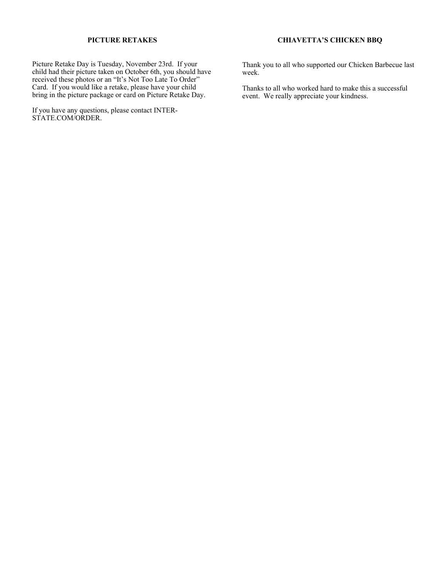#### **PICTURE RETAKES**

Picture Retake Day is Tuesday, November 23rd. If your child had their picture taken on October 6th, you should have received these photos or an "It's Not Too Late To Order" Card. If you would like a retake, please have your child bring in the picture package or card on Picture Retake Day.

If you have any questions, please contact INTER-STATE.COM/ORDER.

#### **CHIAVETTA'S CHICKEN BBQ**

Thank you to all who supported our Chicken Barbecue last week.

Thanks to all who worked hard to make this a successful event. We really appreciate your kindness.